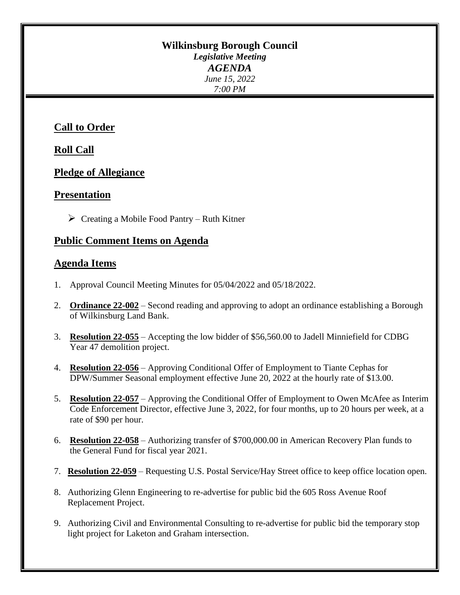### **Wilkinsburg Borough Council**

*Legislative Meeting AGENDA June 15, 2022 7:00 PM*

# **Call to Order**

## **Roll Call**

## **Pledge of Allegiance**

## **Presentation**

 $\triangleright$  Creating a Mobile Food Pantry – Ruth Kitner

## **Public Comment Items on Agenda**

### **Agenda Items**

- 1. Approval Council Meeting Minutes for 05/04/2022 and 05/18/2022.
- 2. **Ordinance 22-002** Second reading and approving to adopt an ordinance establishing a Borough of Wilkinsburg Land Bank.
- 3. **Resolution 22-055** Accepting the low bidder of \$56,560.00 to Jadell Minniefield for CDBG Year 47 demolition project.
- 4. **Resolution 22-056** Approving Conditional Offer of Employment to Tiante Cephas for DPW/Summer Seasonal employment effective June 20, 2022 at the hourly rate of \$13.00.
- 5. **Resolution 22-057** Approving the Conditional Offer of Employment to Owen McAfee as Interim Code Enforcement Director, effective June 3, 2022, for four months, up to 20 hours per week, at a rate of \$90 per hour.
- 6. **Resolution 22-058** Authorizing transfer of \$700,000.00 in American Recovery Plan funds to the General Fund for fiscal year 2021.
- 7. **Resolution 22-059** Requesting U.S. Postal Service/Hay Street office to keep office location open.
- 8. Authorizing Glenn Engineering to re-advertise for public bid the 605 Ross Avenue Roof Replacement Project.
- 9. Authorizing Civil and Environmental Consulting to re-advertise for public bid the temporary stop light project for Laketon and Graham intersection.